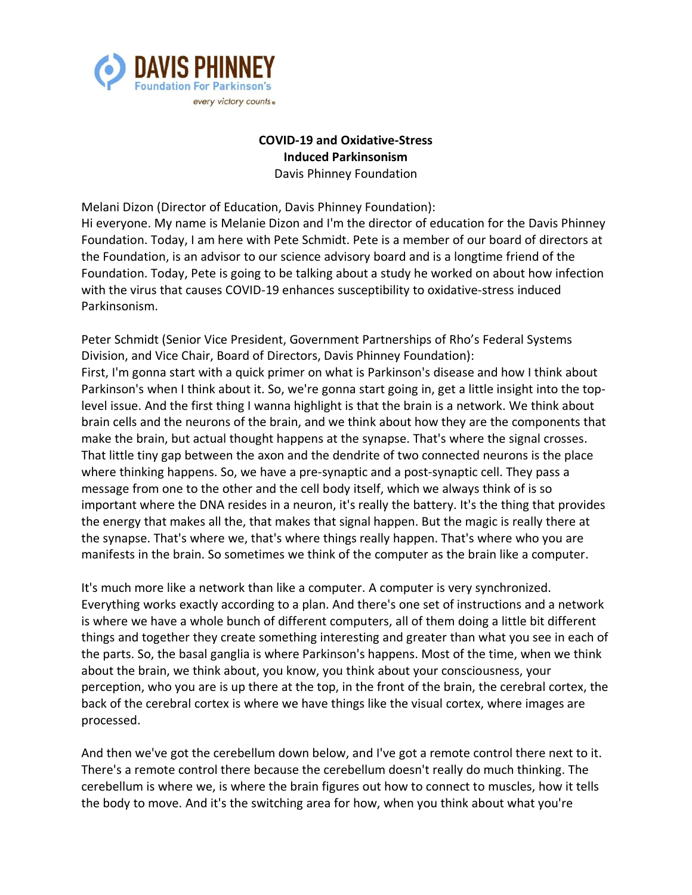

# **COVID-19 and Oxidative-Stress Induced Parkinsonism** Davis Phinney Foundation

Melani Dizon (Director of Education, Davis Phinney Foundation):

Hi everyone. My name is Melanie Dizon and I'm the director of education for the Davis Phinney Foundation. Today, I am here with Pete Schmidt. Pete is a member of our board of directors at the Foundation, is an advisor to our science advisory board and is a longtime friend of the Foundation. Today, Pete is going to be talking about a study he worked on about how infection with the virus that causes COVID-19 enhances susceptibility to oxidative-stress induced Parkinsonism.

Peter Schmidt (Senior Vice President, Government Partnerships of Rho's Federal Systems Division, and Vice Chair, Board of Directors, Davis Phinney Foundation): First, I'm gonna start with a quick primer on what is Parkinson's disease and how I think about Parkinson's when I think about it. So, we're gonna start going in, get a little insight into the toplevel issue. And the first thing I wanna highlight is that the brain is a network. We think about brain cells and the neurons of the brain, and we think about how they are the components that make the brain, but actual thought happens at the synapse. That's where the signal crosses. That little tiny gap between the axon and the dendrite of two connected neurons is the place where thinking happens. So, we have a pre-synaptic and a post-synaptic cell. They pass a message from one to the other and the cell body itself, which we always think of is so important where the DNA resides in a neuron, it's really the battery. It's the thing that provides the energy that makes all the, that makes that signal happen. But the magic is really there at the synapse. That's where we, that's where things really happen. That's where who you are manifests in the brain. So sometimes we think of the computer as the brain like a computer.

It's much more like a network than like a computer. A computer is very synchronized. Everything works exactly according to a plan. And there's one set of instructions and a network is where we have a whole bunch of different computers, all of them doing a little bit different things and together they create something interesting and greater than what you see in each of the parts. So, the basal ganglia is where Parkinson's happens. Most of the time, when we think about the brain, we think about, you know, you think about your consciousness, your perception, who you are is up there at the top, in the front of the brain, the cerebral cortex, the back of the cerebral cortex is where we have things like the visual cortex, where images are processed.

And then we've got the cerebellum down below, and I've got a remote control there next to it. There's a remote control there because the cerebellum doesn't really do much thinking. The cerebellum is where we, is where the brain figures out how to connect to muscles, how it tells the body to move. And it's the switching area for how, when you think about what you're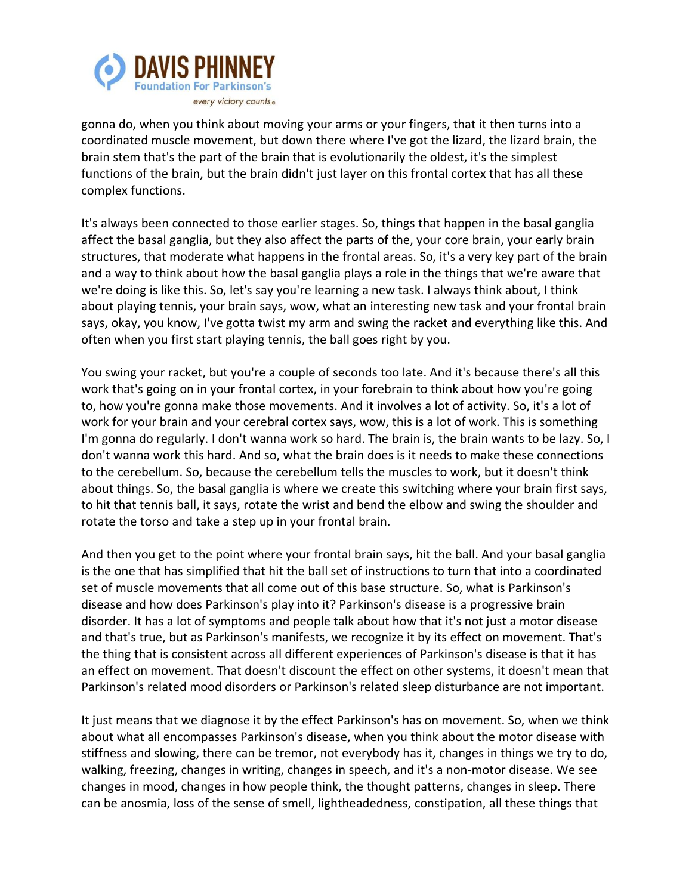

gonna do, when you think about moving your arms or your fingers, that it then turns into a coordinated muscle movement, but down there where I've got the lizard, the lizard brain, the brain stem that's the part of the brain that is evolutionarily the oldest, it's the simplest functions of the brain, but the brain didn't just layer on this frontal cortex that has all these complex functions.

It's always been connected to those earlier stages. So, things that happen in the basal ganglia affect the basal ganglia, but they also affect the parts of the, your core brain, your early brain structures, that moderate what happens in the frontal areas. So, it's a very key part of the brain and a way to think about how the basal ganglia plays a role in the things that we're aware that we're doing is like this. So, let's say you're learning a new task. I always think about, I think about playing tennis, your brain says, wow, what an interesting new task and your frontal brain says, okay, you know, I've gotta twist my arm and swing the racket and everything like this. And often when you first start playing tennis, the ball goes right by you.

You swing your racket, but you're a couple of seconds too late. And it's because there's all this work that's going on in your frontal cortex, in your forebrain to think about how you're going to, how you're gonna make those movements. And it involves a lot of activity. So, it's a lot of work for your brain and your cerebral cortex says, wow, this is a lot of work. This is something I'm gonna do regularly. I don't wanna work so hard. The brain is, the brain wants to be lazy. So, I don't wanna work this hard. And so, what the brain does is it needs to make these connections to the cerebellum. So, because the cerebellum tells the muscles to work, but it doesn't think about things. So, the basal ganglia is where we create this switching where your brain first says, to hit that tennis ball, it says, rotate the wrist and bend the elbow and swing the shoulder and rotate the torso and take a step up in your frontal brain.

And then you get to the point where your frontal brain says, hit the ball. And your basal ganglia is the one that has simplified that hit the ball set of instructions to turn that into a coordinated set of muscle movements that all come out of this base structure. So, what is Parkinson's disease and how does Parkinson's play into it? Parkinson's disease is a progressive brain disorder. It has a lot of symptoms and people talk about how that it's not just a motor disease and that's true, but as Parkinson's manifests, we recognize it by its effect on movement. That's the thing that is consistent across all different experiences of Parkinson's disease is that it has an effect on movement. That doesn't discount the effect on other systems, it doesn't mean that Parkinson's related mood disorders or Parkinson's related sleep disturbance are not important.

It just means that we diagnose it by the effect Parkinson's has on movement. So, when we think about what all encompasses Parkinson's disease, when you think about the motor disease with stiffness and slowing, there can be tremor, not everybody has it, changes in things we try to do, walking, freezing, changes in writing, changes in speech, and it's a non-motor disease. We see changes in mood, changes in how people think, the thought patterns, changes in sleep. There can be anosmia, loss of the sense of smell, lightheadedness, constipation, all these things that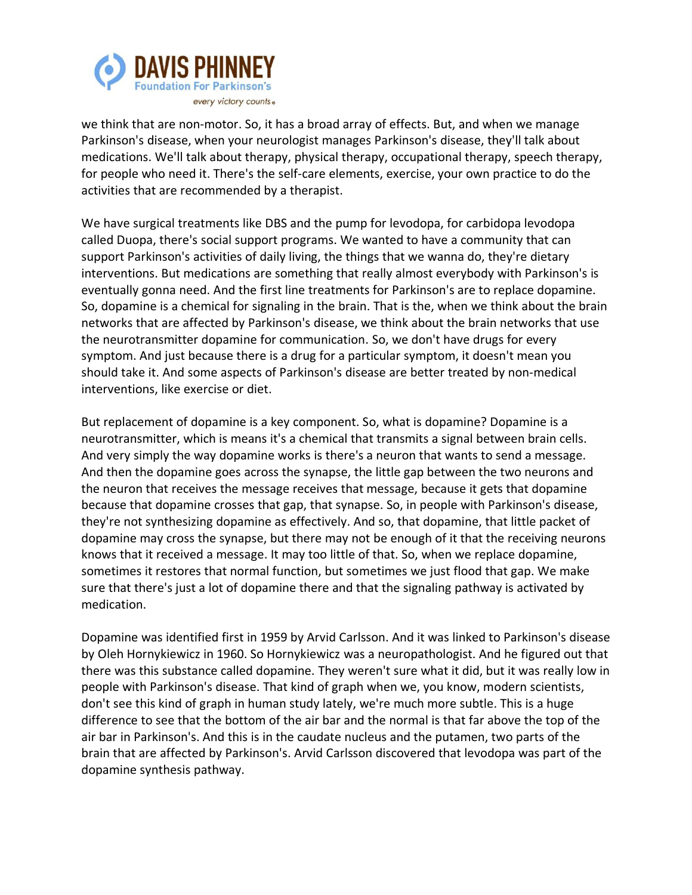

we think that are non-motor. So, it has a broad array of effects. But, and when we manage Parkinson's disease, when your neurologist manages Parkinson's disease, they'll talk about medications. We'll talk about therapy, physical therapy, occupational therapy, speech therapy, for people who need it. There's the self-care elements, exercise, your own practice to do the activities that are recommended by a therapist.

We have surgical treatments like DBS and the pump for levodopa, for carbidopa levodopa called Duopa, there's social support programs. We wanted to have a community that can support Parkinson's activities of daily living, the things that we wanna do, they're dietary interventions. But medications are something that really almost everybody with Parkinson's is eventually gonna need. And the first line treatments for Parkinson's are to replace dopamine. So, dopamine is a chemical for signaling in the brain. That is the, when we think about the brain networks that are affected by Parkinson's disease, we think about the brain networks that use the neurotransmitter dopamine for communication. So, we don't have drugs for every symptom. And just because there is a drug for a particular symptom, it doesn't mean you should take it. And some aspects of Parkinson's disease are better treated by non-medical interventions, like exercise or diet.

But replacement of dopamine is a key component. So, what is dopamine? Dopamine is a neurotransmitter, which is means it's a chemical that transmits a signal between brain cells. And very simply the way dopamine works is there's a neuron that wants to send a message. And then the dopamine goes across the synapse, the little gap between the two neurons and the neuron that receives the message receives that message, because it gets that dopamine because that dopamine crosses that gap, that synapse. So, in people with Parkinson's disease, they're not synthesizing dopamine as effectively. And so, that dopamine, that little packet of dopamine may cross the synapse, but there may not be enough of it that the receiving neurons knows that it received a message. It may too little of that. So, when we replace dopamine, sometimes it restores that normal function, but sometimes we just flood that gap. We make sure that there's just a lot of dopamine there and that the signaling pathway is activated by medication.

Dopamine was identified first in 1959 by Arvid Carlsson. And it was linked to Parkinson's disease by Oleh Hornykiewicz in 1960. So Hornykiewicz was a neuropathologist. And he figured out that there was this substance called dopamine. They weren't sure what it did, but it was really low in people with Parkinson's disease. That kind of graph when we, you know, modern scientists, don't see this kind of graph in human study lately, we're much more subtle. This is a huge difference to see that the bottom of the air bar and the normal is that far above the top of the air bar in Parkinson's. And this is in the caudate nucleus and the putamen, two parts of the brain that are affected by Parkinson's. Arvid Carlsson discovered that levodopa was part of the dopamine synthesis pathway.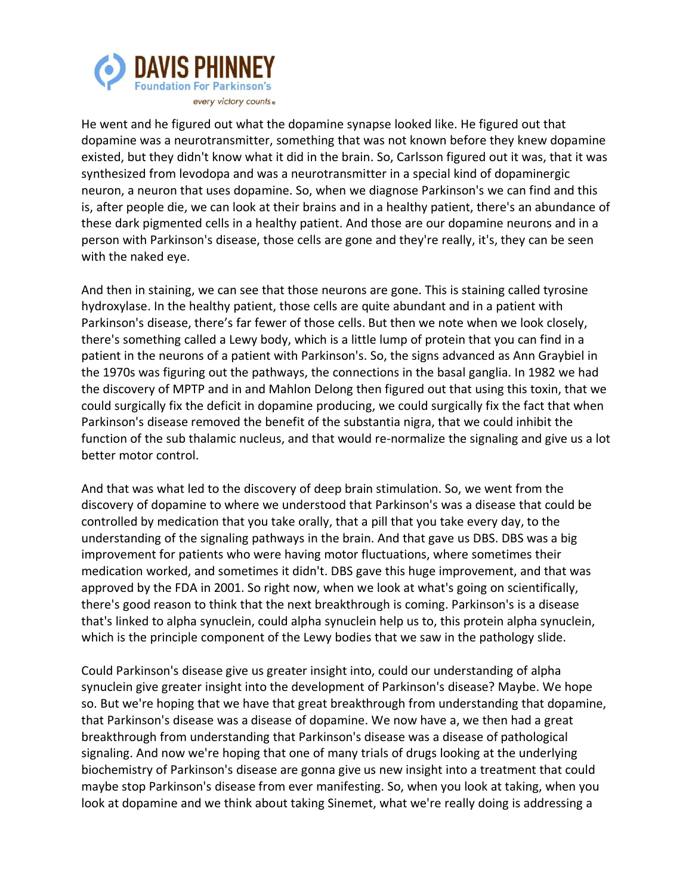

He went and he figured out what the dopamine synapse looked like. He figured out that dopamine was a neurotransmitter, something that was not known before they knew dopamine existed, but they didn't know what it did in the brain. So, Carlsson figured out it was, that it was synthesized from levodopa and was a neurotransmitter in a special kind of dopaminergic neuron, a neuron that uses dopamine. So, when we diagnose Parkinson's we can find and this is, after people die, we can look at their brains and in a healthy patient, there's an abundance of these dark pigmented cells in a healthy patient. And those are our dopamine neurons and in a person with Parkinson's disease, those cells are gone and they're really, it's, they can be seen with the naked eye.

And then in staining, we can see that those neurons are gone. This is staining called tyrosine hydroxylase. In the healthy patient, those cells are quite abundant and in a patient with Parkinson's disease, there's far fewer of those cells. But then we note when we look closely, there's something called a Lewy body, which is a little lump of protein that you can find in a patient in the neurons of a patient with Parkinson's. So, the signs advanced as Ann Graybiel in the 1970s was figuring out the pathways, the connections in the basal ganglia. In 1982 we had the discovery of MPTP and in and Mahlon Delong then figured out that using this toxin, that we could surgically fix the deficit in dopamine producing, we could surgically fix the fact that when Parkinson's disease removed the benefit of the substantia nigra, that we could inhibit the function of the sub thalamic nucleus, and that would re-normalize the signaling and give us a lot better motor control.

And that was what led to the discovery of deep brain stimulation. So, we went from the discovery of dopamine to where we understood that Parkinson's was a disease that could be controlled by medication that you take orally, that a pill that you take every day, to the understanding of the signaling pathways in the brain. And that gave us DBS. DBS was a big improvement for patients who were having motor fluctuations, where sometimes their medication worked, and sometimes it didn't. DBS gave this huge improvement, and that was approved by the FDA in 2001. So right now, when we look at what's going on scientifically, there's good reason to think that the next breakthrough is coming. Parkinson's is a disease that's linked to alpha synuclein, could alpha synuclein help us to, this protein alpha synuclein, which is the principle component of the Lewy bodies that we saw in the pathology slide.

Could Parkinson's disease give us greater insight into, could our understanding of alpha synuclein give greater insight into the development of Parkinson's disease? Maybe. We hope so. But we're hoping that we have that great breakthrough from understanding that dopamine, that Parkinson's disease was a disease of dopamine. We now have a, we then had a great breakthrough from understanding that Parkinson's disease was a disease of pathological signaling. And now we're hoping that one of many trials of drugs looking at the underlying biochemistry of Parkinson's disease are gonna give us new insight into a treatment that could maybe stop Parkinson's disease from ever manifesting. So, when you look at taking, when you look at dopamine and we think about taking Sinemet, what we're really doing is addressing a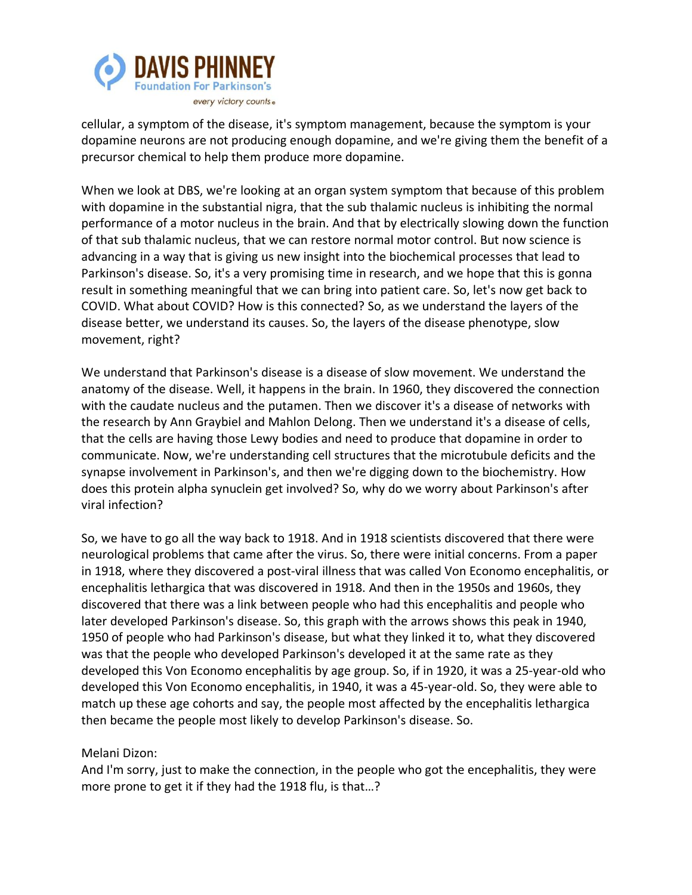

cellular, a symptom of the disease, it's symptom management, because the symptom is your dopamine neurons are not producing enough dopamine, and we're giving them the benefit of a precursor chemical to help them produce more dopamine.

When we look at DBS, we're looking at an organ system symptom that because of this problem with dopamine in the substantial nigra, that the sub thalamic nucleus is inhibiting the normal performance of a motor nucleus in the brain. And that by electrically slowing down the function of that sub thalamic nucleus, that we can restore normal motor control. But now science is advancing in a way that is giving us new insight into the biochemical processes that lead to Parkinson's disease. So, it's a very promising time in research, and we hope that this is gonna result in something meaningful that we can bring into patient care. So, let's now get back to COVID. What about COVID? How is this connected? So, as we understand the layers of the disease better, we understand its causes. So, the layers of the disease phenotype, slow movement, right?

We understand that Parkinson's disease is a disease of slow movement. We understand the anatomy of the disease. Well, it happens in the brain. In 1960, they discovered the connection with the caudate nucleus and the putamen. Then we discover it's a disease of networks with the research by Ann Graybiel and Mahlon Delong. Then we understand it's a disease of cells, that the cells are having those Lewy bodies and need to produce that dopamine in order to communicate. Now, we're understanding cell structures that the microtubule deficits and the synapse involvement in Parkinson's, and then we're digging down to the biochemistry. How does this protein alpha synuclein get involved? So, why do we worry about Parkinson's after viral infection?

So, we have to go all the way back to 1918. And in 1918 scientists discovered that there were neurological problems that came after the virus. So, there were initial concerns. From a paper in 1918, where they discovered a post-viral illness that was called Von Economo encephalitis, or encephalitis lethargica that was discovered in 1918. And then in the 1950s and 1960s, they discovered that there was a link between people who had this encephalitis and people who later developed Parkinson's disease. So, this graph with the arrows shows this peak in 1940, 1950 of people who had Parkinson's disease, but what they linked it to, what they discovered was that the people who developed Parkinson's developed it at the same rate as they developed this Von Economo encephalitis by age group. So, if in 1920, it was a 25-year-old who developed this Von Economo encephalitis, in 1940, it was a 45-year-old. So, they were able to match up these age cohorts and say, the people most affected by the encephalitis lethargica then became the people most likely to develop Parkinson's disease. So.

Melani Dizon:

And I'm sorry, just to make the connection, in the people who got the encephalitis, they were more prone to get it if they had the 1918 flu, is that…?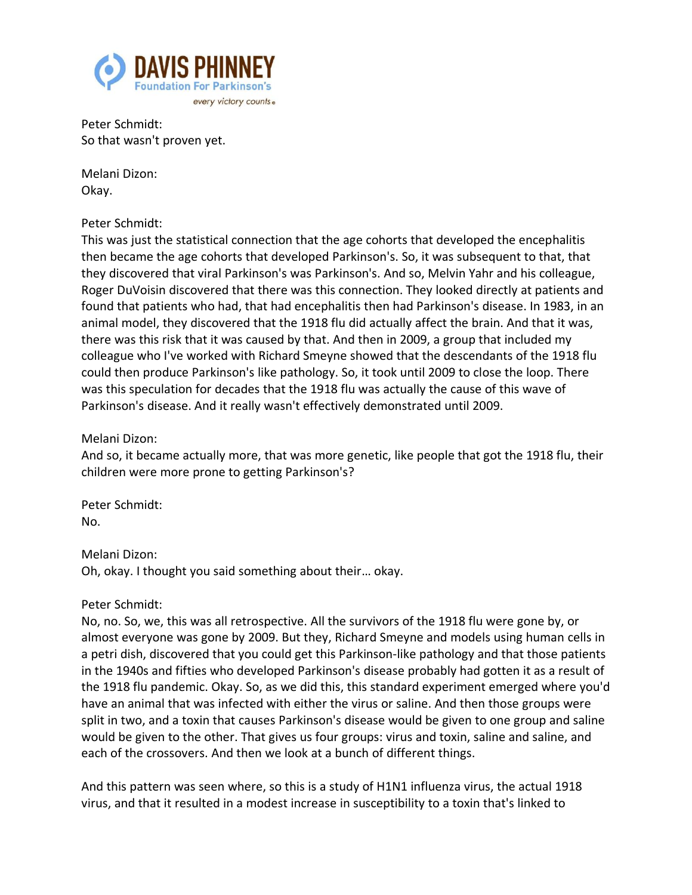

Peter Schmidt: So that wasn't proven yet.

Melani Dizon: Okay.

#### Peter Schmidt:

This was just the statistical connection that the age cohorts that developed the encephalitis then became the age cohorts that developed Parkinson's. So, it was subsequent to that, that they discovered that viral Parkinson's was Parkinson's. And so, Melvin Yahr and his colleague, Roger DuVoisin discovered that there was this connection. They looked directly at patients and found that patients who had, that had encephalitis then had Parkinson's disease. In 1983, in an animal model, they discovered that the 1918 flu did actually affect the brain. And that it was, there was this risk that it was caused by that. And then in 2009, a group that included my colleague who I've worked with Richard Smeyne showed that the descendants of the 1918 flu could then produce Parkinson's like pathology. So, it took until 2009 to close the loop. There was this speculation for decades that the 1918 flu was actually the cause of this wave of Parkinson's disease. And it really wasn't effectively demonstrated until 2009.

Melani Dizon:

And so, it became actually more, that was more genetic, like people that got the 1918 flu, their children were more prone to getting Parkinson's?

Peter Schmidt: No.

### Melani Dizon:

Oh, okay. I thought you said something about their… okay.

### Peter Schmidt:

No, no. So, we, this was all retrospective. All the survivors of the 1918 flu were gone by, or almost everyone was gone by 2009. But they, Richard Smeyne and models using human cells in a petri dish, discovered that you could get this Parkinson-like pathology and that those patients in the 1940s and fifties who developed Parkinson's disease probably had gotten it as a result of the 1918 flu pandemic. Okay. So, as we did this, this standard experiment emerged where you'd have an animal that was infected with either the virus or saline. And then those groups were split in two, and a toxin that causes Parkinson's disease would be given to one group and saline would be given to the other. That gives us four groups: virus and toxin, saline and saline, and each of the crossovers. And then we look at a bunch of different things.

And this pattern was seen where, so this is a study of H1N1 influenza virus, the actual 1918 virus, and that it resulted in a modest increase in susceptibility to a toxin that's linked to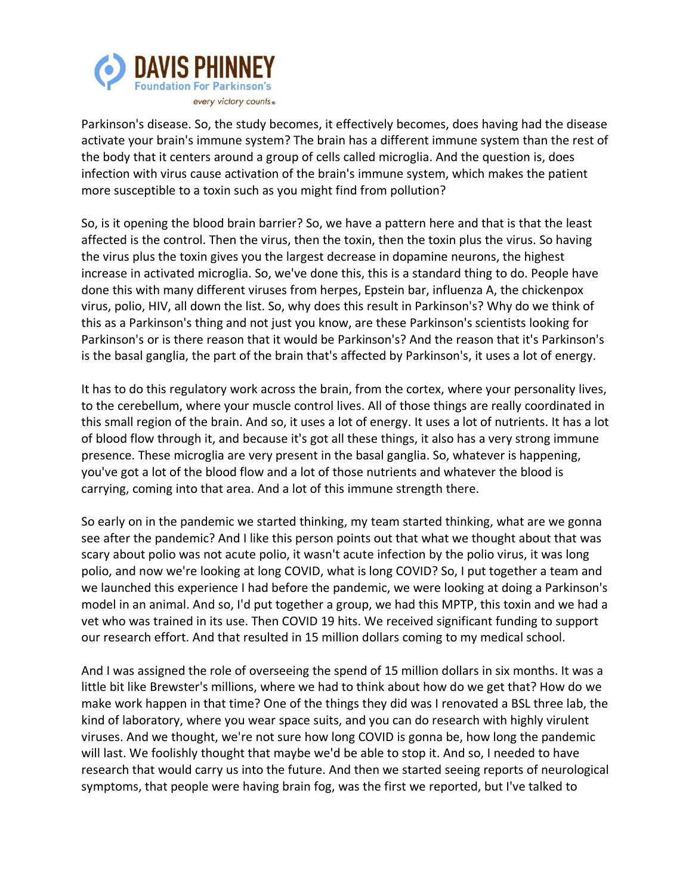

Parkinson's disease. So, the study becomes, it effectively becomes, does having had the disease activate your brain's immune system? The brain has a different immune system than the rest of the body that it centers around a group of cells called microglia. And the question is, does infection with virus cause activation of the brain's immune system, which makes the patient more susceptible to a toxin such as you might find from pollution?

So, is it opening the blood brain barrier? So, we have a pattern here and that is that the least affected is the control. Then the virus, then the toxin, then the toxin plus the virus. So having the virus plus the toxin gives you the largest decrease in dopamine neurons, the highest increase in activated microglia. So, we've done this, this is a standard thing to do. People have done this with many different viruses from herpes, Epstein bar, influenza A, the chickenpox virus, polio, HIV, all down the list. So, why does this result in Parkinson's? Why do we think of this as a Parkinson's thing and not just you know, are these Parkinson's scientists looking for Parkinson's or is there reason that it would be Parkinson's? And the reason that it's Parkinson's is the basal ganglia, the part of the brain that's affected by Parkinson's, it uses a lot of energy.

It has to do this regulatory work across the brain, from the cortex, where your personality lives, to the cerebellum, where your muscle control lives. All of those things are really coordinated in this small region of the brain. And so, it uses a lot of energy. It uses a lot of nutrients. It has a lot of blood flow through it, and because it's got all these things, it also has a very strong immune presence. These microglia are very present in the basal ganglia. So, whatever is happening, you've got a lot of the blood flow and a lot of those nutrients and whatever the blood is carrying, coming into that area. And a lot of this immune strength there.

So early on in the pandemic we started thinking, my team started thinking, what are we gonna see after the pandemic? And I like this person points out that what we thought about that was scary about polio was not acute polio, it wasn't acute infection by the polio virus, it was long polio, and now we're looking at long COVID, what is long COVID? So, I put together a team and we launched this experience I had before the pandemic, we were looking at doing a Parkinson's model in an animal. And so, I'd put together a group, we had this MPTP, this toxin and we had a vet who was trained in its use. Then COVID 19 hits. We received significant funding to support our research effort. And that resulted in 15 million dollars coming to my medical school.

And I was assigned the role of overseeing the spend of 15 million dollars in six months. It was a little bit like Brewster's millions, where we had to think about how do we get that? How do we make work happen in that time? One of the things they did was I renovated a BSL three lab, the kind of laboratory, where you wear space suits, and you can do research with highly virulent viruses. And we thought, we're not sure how long COVID is gonna be, how long the pandemic will last. We foolishly thought that maybe we'd be able to stop it. And so, I needed to have research that would carry us into the future. And then we started seeing reports of neurological symptoms, that people were having brain fog, was the first we reported, but I've talked to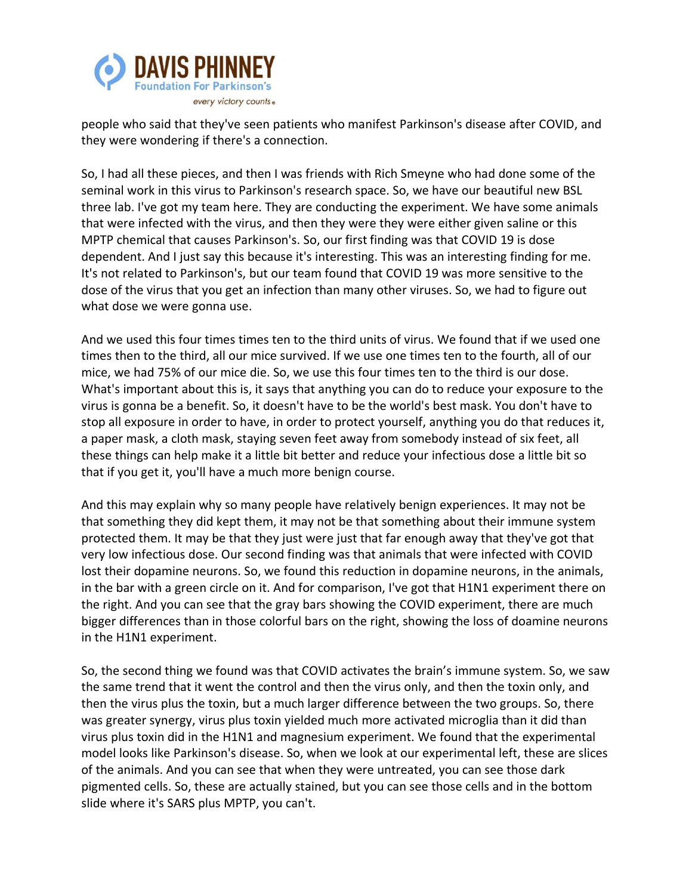

people who said that they've seen patients who manifest Parkinson's disease after COVID, and they were wondering if there's a connection.

So, I had all these pieces, and then I was friends with Rich Smeyne who had done some of the seminal work in this virus to Parkinson's research space. So, we have our beautiful new BSL three lab. I've got my team here. They are conducting the experiment. We have some animals that were infected with the virus, and then they were they were either given saline or this MPTP chemical that causes Parkinson's. So, our first finding was that COVID 19 is dose dependent. And I just say this because it's interesting. This was an interesting finding for me. It's not related to Parkinson's, but our team found that COVID 19 was more sensitive to the dose of the virus that you get an infection than many other viruses. So, we had to figure out what dose we were gonna use.

And we used this four times times ten to the third units of virus. We found that if we used one times then to the third, all our mice survived. If we use one times ten to the fourth, all of our mice, we had 75% of our mice die. So, we use this four times ten to the third is our dose. What's important about this is, it says that anything you can do to reduce your exposure to the virus is gonna be a benefit. So, it doesn't have to be the world's best mask. You don't have to stop all exposure in order to have, in order to protect yourself, anything you do that reduces it, a paper mask, a cloth mask, staying seven feet away from somebody instead of six feet, all these things can help make it a little bit better and reduce your infectious dose a little bit so that if you get it, you'll have a much more benign course.

And this may explain why so many people have relatively benign experiences. It may not be that something they did kept them, it may not be that something about their immune system protected them. It may be that they just were just that far enough away that they've got that very low infectious dose. Our second finding was that animals that were infected with COVID lost their dopamine neurons. So, we found this reduction in dopamine neurons, in the animals, in the bar with a green circle on it. And for comparison, I've got that H1N1 experiment there on the right. And you can see that the gray bars showing the COVID experiment, there are much bigger differences than in those colorful bars on the right, showing the loss of doamine neurons in the H1N1 experiment.

So, the second thing we found was that COVID activates the brain's immune system. So, we saw the same trend that it went the control and then the virus only, and then the toxin only, and then the virus plus the toxin, but a much larger difference between the two groups. So, there was greater synergy, virus plus toxin yielded much more activated microglia than it did than virus plus toxin did in the H1N1 and magnesium experiment. We found that the experimental model looks like Parkinson's disease. So, when we look at our experimental left, these are slices of the animals. And you can see that when they were untreated, you can see those dark pigmented cells. So, these are actually stained, but you can see those cells and in the bottom slide where it's SARS plus MPTP, you can't.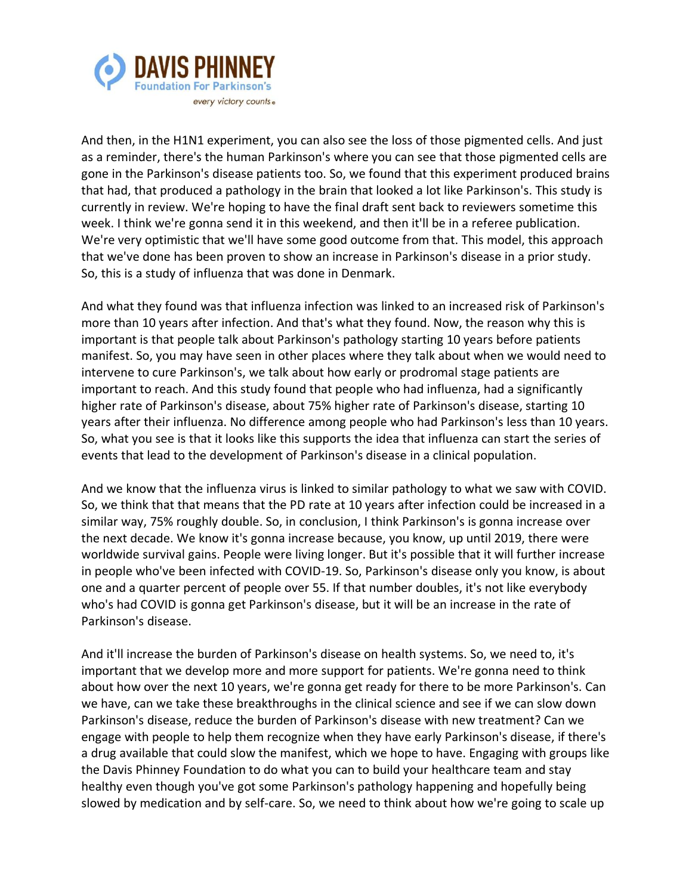

And then, in the H1N1 experiment, you can also see the loss of those pigmented cells. And just as a reminder, there's the human Parkinson's where you can see that those pigmented cells are gone in the Parkinson's disease patients too. So, we found that this experiment produced brains that had, that produced a pathology in the brain that looked a lot like Parkinson's. This study is currently in review. We're hoping to have the final draft sent back to reviewers sometime this week. I think we're gonna send it in this weekend, and then it'll be in a referee publication. We're very optimistic that we'll have some good outcome from that. This model, this approach that we've done has been proven to show an increase in Parkinson's disease in a prior study. So, this is a study of influenza that was done in Denmark.

And what they found was that influenza infection was linked to an increased risk of Parkinson's more than 10 years after infection. And that's what they found. Now, the reason why this is important is that people talk about Parkinson's pathology starting 10 years before patients manifest. So, you may have seen in other places where they talk about when we would need to intervene to cure Parkinson's, we talk about how early or prodromal stage patients are important to reach. And this study found that people who had influenza, had a significantly higher rate of Parkinson's disease, about 75% higher rate of Parkinson's disease, starting 10 years after their influenza. No difference among people who had Parkinson's less than 10 years. So, what you see is that it looks like this supports the idea that influenza can start the series of events that lead to the development of Parkinson's disease in a clinical population.

And we know that the influenza virus is linked to similar pathology to what we saw with COVID. So, we think that that means that the PD rate at 10 years after infection could be increased in a similar way, 75% roughly double. So, in conclusion, I think Parkinson's is gonna increase over the next decade. We know it's gonna increase because, you know, up until 2019, there were worldwide survival gains. People were living longer. But it's possible that it will further increase in people who've been infected with COVID-19. So, Parkinson's disease only you know, is about one and a quarter percent of people over 55. If that number doubles, it's not like everybody who's had COVID is gonna get Parkinson's disease, but it will be an increase in the rate of Parkinson's disease.

And it'll increase the burden of Parkinson's disease on health systems. So, we need to, it's important that we develop more and more support for patients. We're gonna need to think about how over the next 10 years, we're gonna get ready for there to be more Parkinson's. Can we have, can we take these breakthroughs in the clinical science and see if we can slow down Parkinson's disease, reduce the burden of Parkinson's disease with new treatment? Can we engage with people to help them recognize when they have early Parkinson's disease, if there's a drug available that could slow the manifest, which we hope to have. Engaging with groups like the Davis Phinney Foundation to do what you can to build your healthcare team and stay healthy even though you've got some Parkinson's pathology happening and hopefully being slowed by medication and by self-care. So, we need to think about how we're going to scale up